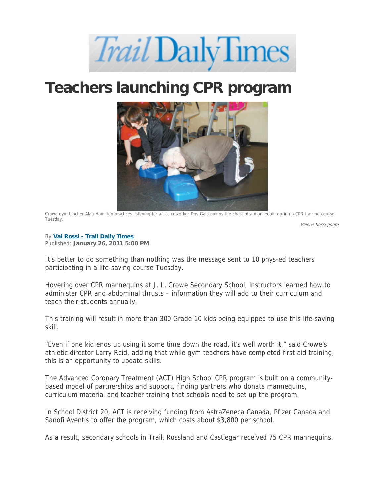## *Trail* Daily Times

## **Teachers launching CPR program**



Crowe gym teacher Alan Hamilton practices listening for air as coworker Dov Gala pumps the chest of a mannequin during a CPR training course Tuesday.

Valerie Rossi photo

## By **Val Rossi - Trail Daily Times**

Published: **January 26, 2011 5:00 PM**

It's better to do something than nothing was the message sent to 10 phys-ed teachers participating in a life-saving course Tuesday.

Hovering over CPR mannequins at J. L. Crowe Secondary School, instructors learned how to administer CPR and abdominal thrusts – information they will add to their curriculum and teach their students annually.

This training will result in more than 300 Grade 10 kids being equipped to use this life-saving skill.

"Even if one kid ends up using it some time down the road, it's well worth it," said Crowe's athletic director Larry Reid, adding that while gym teachers have completed first aid training, this is an opportunity to update skills.

The Advanced Coronary Treatment (ACT) High School CPR program is built on a communitybased model of partnerships and support, finding partners who donate mannequins, curriculum material and teacher training that schools need to set up the program.

In School District 20, ACT is receiving funding from AstraZeneca Canada, Pfizer Canada and Sanofi Aventis to offer the program, which costs about \$3,800 per school.

As a result, secondary schools in Trail, Rossland and Castlegar received 75 CPR mannequins.